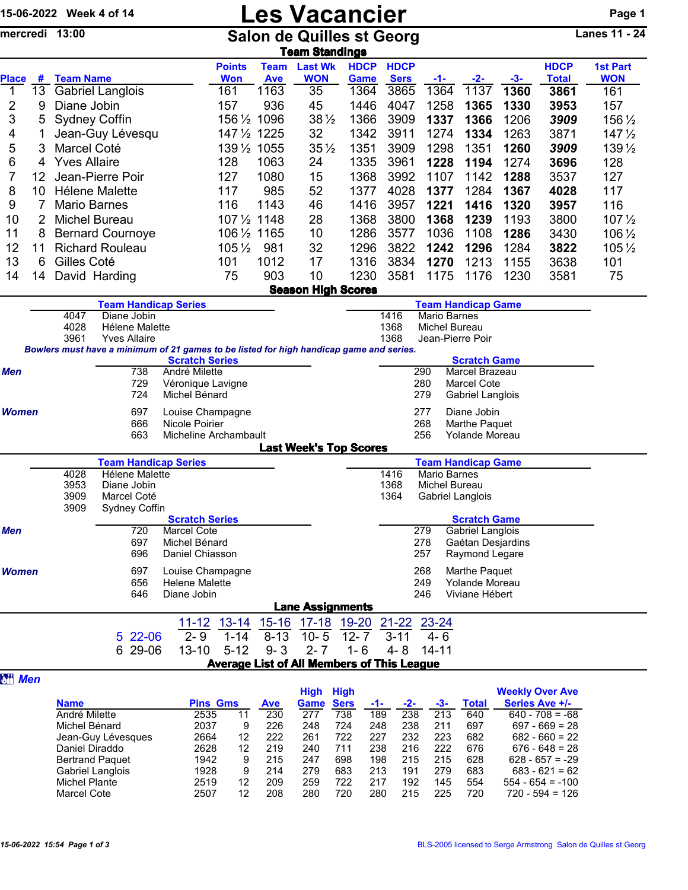|               |                 | 15-06-2022 Week 4 of 14                                                                        |                                                                                                                |                       | <b>Les Vacancier</b>        |                           |                              |                                                   |                            |                     |                                 |      |                                                  |                               |  |
|---------------|-----------------|------------------------------------------------------------------------------------------------|----------------------------------------------------------------------------------------------------------------|-----------------------|-----------------------------|---------------------------|------------------------------|---------------------------------------------------|----------------------------|---------------------|---------------------------------|------|--------------------------------------------------|-------------------------------|--|
|               |                 | Lanes 11 - $24$<br>mercredi 13:00<br><b>Salon de Quilles st Georg</b><br><b>Team Standings</b> |                                                                                                                |                       |                             |                           |                              |                                                   |                            |                     |                                 |      |                                                  |                               |  |
| <b>Place</b>  | #               | <b>Team Name</b>                                                                               |                                                                                                                |                       | <b>Points</b><br><b>Won</b> | <b>Team</b><br><b>Ave</b> | <b>Last Wk</b><br><b>WON</b> | <b>HDCP</b><br>Game                               | <b>HDCP</b><br><b>Sers</b> |                     |                                 | -3-  | <b>HDCP</b><br><b>Total</b>                      | <b>1st Part</b><br><b>WON</b> |  |
| 1             | 13 <sup>°</sup> |                                                                                                | <b>Gabriel Langlois</b>                                                                                        |                       | 161                         | 1163                      | 35                           | 1364                                              | 3865                       | -1-<br>1364         | -2-<br>1137                     | 1360 | 3861                                             | 161                           |  |
| 2             | 9               | Diane Jobin                                                                                    |                                                                                                                |                       | 157                         | 936                       | 45                           | 1446                                              | 4047                       | 1258                | 1365                            | 1330 | 3953                                             | 157                           |  |
| 3             | 5               | <b>Sydney Coffin</b>                                                                           |                                                                                                                |                       | 156 1/2 1096                |                           | $38\frac{1}{2}$              | 1366                                              | 3909                       | 1337                | 1366                            | 1206 | 3909                                             | 156 1/2                       |  |
| 4             |                 |                                                                                                | Jean-Guy Lévesqu                                                                                               |                       | 147 1/2 1225                |                           | 32                           | 1342                                              | 3911                       | 1274                | 1334                            | 1263 | 3871                                             | $147\frac{1}{2}$              |  |
| 5             | 3               | Marcel Coté                                                                                    |                                                                                                                |                       | 1391/2 1055                 |                           | $35\frac{1}{2}$              | 1351                                              | 3909                       | 1298                | 1351                            | 1260 | 3909                                             | 139 1/2                       |  |
| 6             | 4               | <b>Yves Allaire</b>                                                                            |                                                                                                                |                       | 128                         | 1063                      | 24                           | 1335                                              | 3961                       | 1228                | 1194                            | 1274 | 3696                                             | 128                           |  |
| 7             | 12 <sup>2</sup> |                                                                                                | Jean-Pierre Poir                                                                                               |                       | 127                         | 1080                      | 15                           | 1368                                              | 3992                       | 1107                | 1142                            | 1288 | 3537                                             | 127                           |  |
| 8             | 10              |                                                                                                | Hélene Malette                                                                                                 |                       | 117                         | 985                       | 52                           | 1377                                              | 4028                       | 1377                | 1284                            | 1367 | 4028                                             | 117                           |  |
| 9             | $\overline{7}$  | <b>Mario Barnes</b>                                                                            |                                                                                                                |                       | 116                         | 1143                      | 46                           | 1416                                              | 3957                       | 1221                | 1416                            | 1320 | 3957                                             | 116                           |  |
| 10            |                 | <b>Michel Bureau</b>                                                                           |                                                                                                                |                       | 107 1/2 1148                |                           | 28                           | 1368                                              | 3800                       | 1368                | 1239                            | 1193 | 3800                                             | $107\frac{1}{2}$              |  |
| 11            | 8               |                                                                                                | <b>Bernard Cournoye</b>                                                                                        |                       | 106 1/2 1165                |                           | 10                           | 1286                                              | 3577                       | 1036                | 1108                            | 1286 | 3430                                             | 106 1/2                       |  |
| 12            | 11              |                                                                                                | <b>Richard Rouleau</b>                                                                                         |                       | $105\frac{1}{2}$            | 981                       | 32                           | 1296                                              | 3822                       | 1242                | 1296                            | 1284 | 3822                                             | 105 1/2                       |  |
| 13            | 6               | Gilles Coté                                                                                    |                                                                                                                |                       | 101                         | 1012                      | 17                           | 1316                                              | 3834                       | 1270                | 1213                            | 1155 | 3638                                             | 101                           |  |
| 14            | 14              | David Harding                                                                                  |                                                                                                                |                       | 75                          | 903                       | 10                           | 1230                                              | 3581                       | 1175                | 1176                            | 1230 | 3581                                             | 75                            |  |
|               |                 |                                                                                                |                                                                                                                |                       |                             |                           |                              | <b>Season High Scores</b>                         |                            |                     |                                 |      |                                                  |                               |  |
|               |                 |                                                                                                | <b>Team Handicap Series</b>                                                                                    |                       |                             |                           |                              |                                                   |                            |                     | <b>Team Handicap Game</b>       |      |                                                  |                               |  |
|               |                 | 4047                                                                                           | Diane Jobin                                                                                                    |                       |                             |                           |                              |                                                   | 1416                       | <b>Mario Barnes</b> |                                 |      |                                                  |                               |  |
|               |                 | 4028                                                                                           | Hélene Malette                                                                                                 |                       | 1368<br>Michel Bureau       |                           |                              |                                                   |                            |                     |                                 |      |                                                  |                               |  |
|               |                 | 3961                                                                                           | <b>Yves Allaire</b><br>Bowlers must have a minimum of 21 games to be listed for high handicap game and series. |                       |                             |                           |                              |                                                   | 1368                       | Jean-Pierre Poir    |                                 |      |                                                  |                               |  |
|               |                 |                                                                                                |                                                                                                                | <b>Scratch Series</b> |                             |                           |                              |                                                   |                            |                     | <b>Scratch Game</b>             |      |                                                  |                               |  |
| <b>Men</b>    |                 |                                                                                                | 738                                                                                                            | André Milette         |                             |                           |                              |                                                   |                            | 290                 | Marcel Brazeau                  |      |                                                  |                               |  |
|               |                 |                                                                                                | 729                                                                                                            | Véronique Lavigne     |                             |                           |                              |                                                   |                            | 280                 | <b>Marcel Cote</b>              |      |                                                  |                               |  |
|               |                 |                                                                                                | 724                                                                                                            | Michel Bénard         |                             |                           |                              |                                                   |                            | 279                 | Gabriel Langlois                |      |                                                  |                               |  |
| <b>Women</b>  |                 | 697<br>Louise Champagne                                                                        |                                                                                                                |                       |                             |                           |                              |                                                   |                            | 277                 | Diane Jobin                     |      |                                                  |                               |  |
|               |                 |                                                                                                | 666<br>663                                                                                                     | Nicole Poirier        |                             |                           |                              |                                                   |                            | 268<br>256          | Marthe Paquet<br>Yolande Moreau |      |                                                  |                               |  |
|               |                 |                                                                                                |                                                                                                                | Micheline Archambault |                             |                           |                              | <b>Last Week's Top Scores</b>                     |                            |                     |                                 |      |                                                  |                               |  |
|               |                 |                                                                                                | <b>Team Handicap Series</b>                                                                                    |                       |                             |                           |                              |                                                   |                            |                     | <b>Team Handicap Game</b>       |      |                                                  |                               |  |
|               |                 | 4028                                                                                           | Hélene Malette                                                                                                 |                       |                             |                           |                              |                                                   | 1416                       | Mario Barnes        |                                 |      |                                                  |                               |  |
|               |                 | 3953                                                                                           | Diane Jobin                                                                                                    |                       |                             |                           |                              | 1368                                              | Michel Bureau              |                     |                                 |      |                                                  |                               |  |
|               |                 | 3909                                                                                           | Marcel Coté                                                                                                    |                       |                             |                           |                              |                                                   | 1364                       |                     | Gabriel Langlois                |      |                                                  |                               |  |
|               |                 | 3909                                                                                           | Sydney Coffin                                                                                                  | <b>Scratch Series</b> |                             |                           |                              |                                                   |                            |                     | <b>Scratch Game</b>             |      |                                                  |                               |  |
| <b>Men</b>    |                 |                                                                                                | 720                                                                                                            | Marcel Cote           |                             |                           |                              |                                                   |                            | 279                 | Gabriel Langlois                |      |                                                  |                               |  |
|               |                 |                                                                                                | 697                                                                                                            | Michel Bénard         |                             |                           |                              |                                                   |                            | 278                 | Gaétan Desjardins               |      |                                                  |                               |  |
|               |                 |                                                                                                | 696                                                                                                            | Daniel Chiasson       |                             |                           |                              |                                                   |                            | 257                 | Raymond Legare                  |      |                                                  |                               |  |
| <b>Women</b>  |                 |                                                                                                | 697                                                                                                            | Louise Champagne      |                             |                           |                              |                                                   |                            | 268                 | Marthe Paquet                   |      |                                                  |                               |  |
|               |                 |                                                                                                | 656                                                                                                            | <b>Helene Malette</b> |                             |                           |                              |                                                   |                            | 249                 | Yolande Moreau                  |      |                                                  |                               |  |
|               |                 |                                                                                                | 646                                                                                                            | Diane Jobin           |                             |                           |                              |                                                   |                            | 246                 | Viviane Hébert                  |      |                                                  |                               |  |
|               |                 |                                                                                                |                                                                                                                |                       |                             |                           |                              | <b>Lane Assignments</b>                           |                            |                     |                                 |      |                                                  |                               |  |
|               |                 |                                                                                                |                                                                                                                |                       | $11 - 12$ 13-14             | $15 - 16$                 |                              | 17-18 19-20                                       | <u>21-22</u>               | 23-24               |                                 |      |                                                  |                               |  |
|               |                 |                                                                                                | 5 22-06                                                                                                        | $2 - 9$               | $1 - 14$                    | $8 - 13$                  | $10 - 5$                     | $12 - 7$                                          | $3 - 11$                   | $4 - 6$             |                                 |      |                                                  |                               |  |
|               |                 |                                                                                                | 6 29-06                                                                                                        | $13 - 10$             | $5 - 12$                    | $9 - 3$                   | $2 - 7$                      | $1 - 6$                                           | $4 - 8$                    | $14 - 11$           |                                 |      |                                                  |                               |  |
|               |                 |                                                                                                |                                                                                                                |                       |                             |                           |                              | <b>Average List of All Members of This League</b> |                            |                     |                                 |      |                                                  |                               |  |
| <b>图书 Men</b> |                 |                                                                                                |                                                                                                                |                       |                             |                           |                              |                                                   |                            |                     |                                 |      |                                                  |                               |  |
|               |                 | <b>Namo</b>                                                                                    |                                                                                                                |                       | <b>Dine Gme</b>             | <b>Ave</b>                | High High<br>Game Sare       |                                                   |                            |                     | <b>Total</b>                    |      | <b>Weekly Over Ave</b><br>Sarios $\Delta v = +L$ |                               |  |

|                        |                 |    |            | nıyıı | пічн        |     |     |     |       | <b><i>INVERTIV OVER AVE</i></b> |  |
|------------------------|-----------------|----|------------|-------|-------------|-----|-----|-----|-------|---------------------------------|--|
| <b>Name</b>            | <b>Pins Gms</b> |    | <b>Ave</b> | Game  | <b>Sers</b> | -1- | -2- | -3- | Total | Series Ave +/-                  |  |
| André Milette          | 2535            | 11 | 230        | 277   | 738         | 189 | 238 | 213 | 640   | $640 - 708 = -68$               |  |
| Michel Bénard          | 2037            | 9  | 226        | 248   | 724         | 248 | 238 | 211 | 697   | $697 - 669 = 28$                |  |
| Jean-Guy Lévesques     | 2664            | 12 | 222        | 261   | 722         | 227 | 232 | 223 | 682   | $682 - 660 = 22$                |  |
| Daniel Diraddo         | 2628            | 12 | 219        | 240   | 711         | 238 | 216 | 222 | 676   | $676 - 648 = 28$                |  |
| <b>Bertrand Paquet</b> | 1942            | 9  | 215        | 247   | 698         | 198 | 215 | 215 | 628   | $628 - 657 = -29$               |  |
| Gabriel Langlois       | 1928            | 9  | 214        | 279   | 683         | 213 | 191 | 279 | 683   | $683 - 621 = 62$                |  |
| Michel Plante          | 2519            | 12 | 209        | 259   | 722         | 217 | 192 | 145 | 554   | $554 - 654 = -100$              |  |
| Marcel Cote            | 2507            | 12 | 208        | 280   | 720         | 280 | 215 | 225 | 720   | $720 - 594 = 126$               |  |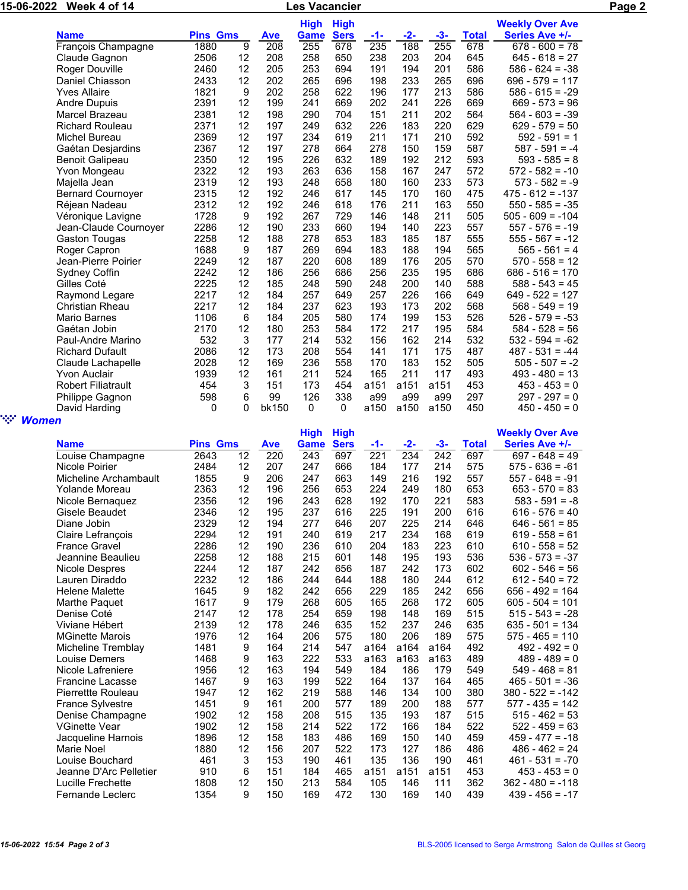| 15-06-2022                    |                           |                 | <b>Les Vacancier</b> |                  |             | Page 2      |      |       |       |              |                        |  |
|-------------------------------|---------------------------|-----------------|----------------------|------------------|-------------|-------------|------|-------|-------|--------------|------------------------|--|
|                               |                           |                 |                      |                  | <b>High</b> | <b>High</b> |      |       |       |              | <b>Weekly Over Ave</b> |  |
|                               | <b>Name</b>               | <b>Pins Gms</b> |                      | <b>Ave</b>       | Game        | <b>Sers</b> | -1-  | $-2-$ | $-3-$ | <b>Total</b> | Series Ave +/-         |  |
|                               | François Champagne        | 1880            | 9                    | $\overline{208}$ | 255         | 678         | 235  | 188   | 255   | 678          | $678 - 600 = 78$       |  |
|                               | Claude Gagnon             | 2506            | 12                   | 208              | 258         | 650         | 238  | 203   | 204   | 645          | $645 - 618 = 27$       |  |
|                               | Roger Douville            | 2460            | 12                   | 205              | 253         | 694         | 191  | 194   | 201   | 586          | $586 - 624 = -38$      |  |
|                               | Daniel Chiasson           | 2433            | 12                   | 202              | 265         | 696         | 198  | 233   | 265   | 696          | $696 - 579 = 117$      |  |
|                               | <b>Yves Allaire</b>       | 1821            | 9                    | 202              | 258         | 622         | 196  | 177   | 213   | 586          | $586 - 615 = -29$      |  |
|                               | <b>Andre Dupuis</b>       | 2391            | 12                   | 199              | 241         | 669         | 202  | 241   | 226   | 669          | $669 - 573 = 96$       |  |
|                               | Marcel Brazeau            | 2381            | 12                   | 198              | 290         | 704         | 151  | 211   | 202   | 564          | $564 - 603 = -39$      |  |
|                               | <b>Richard Rouleau</b>    | 2371            | 12                   | 197              | 249         | 632         | 226  | 183   | 220   | 629          | $629 - 579 = 50$       |  |
|                               | <b>Michel Bureau</b>      | 2369            | 12                   | 197              | 234         | 619         | 211  | 171   | 210   | 592          | $592 - 591 = 1$        |  |
|                               | Gaétan Desjardins         | 2367            | 12                   | 197              | 278         | 664         | 278  | 150   | 159   | 587          | $587 - 591 = -4$       |  |
|                               | <b>Benoit Galipeau</b>    | 2350            | 12                   | 195              | 226         | 632         | 189  | 192   | 212   | 593          | $593 - 585 = 8$        |  |
|                               | Yvon Mongeau              | 2322            | 12                   | 193              | 263         | 636         | 158  | 167   | 247   | 572          | $572 - 582 = -10$      |  |
|                               | Majella Jean              | 2319            | 12                   | 193              | 248         | 658         | 180  | 160   | 233   | 573          | $573 - 582 = -9$       |  |
|                               | <b>Bernard Cournoyer</b>  | 2315            | 12                   | 192              | 246         | 617         | 145  | 170   | 160   | 475          | $475 - 612 = -137$     |  |
|                               | Réjean Nadeau             | 2312            | 12                   | 192              | 246         | 618         | 176  | 211   | 163   | 550          | $550 - 585 = -35$      |  |
|                               | Véronique Lavigne         | 1728            | 9                    | 192              | 267         | 729         | 146  | 148   | 211   | 505          | $505 - 609 = -104$     |  |
|                               | Jean-Claude Cournoyer     | 2286            | 12                   | 190              | 233         | 660         | 194  | 140   | 223   | 557          | $557 - 576 = -19$      |  |
|                               | Gaston Tougas             | 2258            | 12                   | 188              | 278         | 653         | 183  | 185   | 187   | 555          | $555 - 567 = -12$      |  |
|                               | Roger Capron              | 1688            | 9                    | 187              | 269         | 694         | 183  | 188   | 194   | 565          | $565 - 561 = 4$        |  |
|                               | Jean-Pierre Poirier       | 2249            | 12                   | 187              | 220         | 608         | 189  | 176   | 205   | 570          | $570 - 558 = 12$       |  |
|                               | Sydney Coffin             | 2242            | 12                   | 186              | 256         | 686         | 256  | 235   | 195   | 686          | $686 - 516 = 170$      |  |
|                               | Gilles Coté               | 2225            | 12                   | 185              | 248         | 590         | 248  | 200   | 140   | 588          | $588 - 543 = 45$       |  |
|                               | Raymond Legare            | 2217            | 12                   | 184              | 257         | 649         | 257  | 226   | 166   | 649          | $649 - 522 = 127$      |  |
|                               | <b>Christian Rheau</b>    | 2217            | 12                   | 184              | 237         | 623         | 193  | 173   | 202   | 568          | $568 - 549 = 19$       |  |
|                               | Mario Barnes              | 1106            | 6                    | 184              | 205         | 580         | 174  | 199   | 153   | 526          | $526 - 579 = -53$      |  |
|                               | Gaétan Jobin              | 2170            | 12                   | 180              | 253         | 584         | 172  | 217   | 195   | 584          | $584 - 528 = 56$       |  |
|                               | Paul-Andre Marino         | 532             | 3                    | 177              | 214         | 532         | 156  | 162   | 214   | 532          | $532 - 594 = -62$      |  |
|                               | <b>Richard Dufault</b>    | 2086            | 12                   | 173              | 208         | 554         | 141  | 171   | 175   | 487          | $487 - 531 = -44$      |  |
|                               | Claude Lachapelle         | 2028            | 12                   | 169              | 236         | 558         | 170  | 183   | 152   | 505          | $505 - 507 = -2$       |  |
|                               | <b>Yvon Auclair</b>       | 1939            | 12                   | 161              | 211         | 524         | 165  | 211   | 117   | 493          | $493 - 480 = 13$       |  |
|                               | <b>Robert Filiatrault</b> | 454             | 3                    | 151              | 173         | 454         | a151 | a151  | a151  | 453          | $453 - 453 = 0$        |  |
|                               | Philippe Gagnon           | 598             | 6                    | 99               | 126         | 338         | a99  | a99   | a99   | 297          | $297 - 297 = 0$        |  |
|                               | David Harding             | 0               | 0                    | bk150            | 0           | 0           | a150 | a150  | a150  | 450          | $450 - 450 = 0$        |  |
| <b>SAMPLE</b><br><b>Women</b> |                           |                 |                      |                  |             |             |      |       |       |              |                        |  |

|                          |                 |    |            | <b>High</b> | <b>High</b> |      |       |       |              | <b>Weekly Over Ave</b> |
|--------------------------|-----------------|----|------------|-------------|-------------|------|-------|-------|--------------|------------------------|
| <b>Name</b>              | <b>Pins Gms</b> |    | <b>Ave</b> | Game        | <b>Sers</b> | -1-  | $-2-$ | $-3-$ | <b>Total</b> | Series Ave +/-         |
| Louise Champagne         | 2643            | 12 | 220        | 243         | 697         | 221  | 234   | 242   | 697          | $697 - 648 = 49$       |
| Nicole Poirier           | 2484            | 12 | 207        | 247         | 666         | 184  | 177   | 214   | 575          | $575 - 636 = -61$      |
| Micheline Archambault    | 1855            | 9  | 206        | 247         | 663         | 149  | 216   | 192   | 557          | $557 - 648 = -91$      |
| Yolande Moreau           | 2363            | 12 | 196        | 256         | 653         | 224  | 249   | 180   | 653          | $653 - 570 = 83$       |
| Nicole Bernaquez         | 2356            | 12 | 196        | 243         | 628         | 192  | 170   | 221   | 583          | $583 - 591 = -8$       |
| Gisele Beaudet           | 2346            | 12 | 195        | 237         | 616         | 225  | 191   | 200   | 616          | $616 - 576 = 40$       |
| Diane Jobin              | 2329            | 12 | 194        | 277         | 646         | 207  | 225   | 214   | 646          | $646 - 561 = 85$       |
| <b>Claire Lefrancois</b> | 2294            | 12 | 191        | 240         | 619         | 217  | 234   | 168   | 619          | $619 - 558 = 61$       |
| <b>France Gravel</b>     | 2286            | 12 | 190        | 236         | 610         | 204  | 183   | 223   | 610          | $610 - 558 = 52$       |
| Jeannine Beaulieu        | 2258            | 12 | 188        | 215         | 601         | 148  | 195   | 193   | 536          | $536 - 573 = -37$      |
| Nicole Despres           | 2244            | 12 | 187        | 242         | 656         | 187  | 242   | 173   | 602          | $602 - 546 = 56$       |
| Lauren Diraddo           | 2232            | 12 | 186        | 244         | 644         | 188  | 180   | 244   | 612          | $612 - 540 = 72$       |
| <b>Helene Malette</b>    | 1645            | 9  | 182        | 242         | 656         | 229  | 185   | 242   | 656          | $656 - 492 = 164$      |
| Marthe Paguet            | 1617            | 9  | 179        | 268         | 605         | 165  | 268   | 172   | 605          | $605 - 504 = 101$      |
| Denise Coté              | 2147            | 12 | 178        | 254         | 659         | 198  | 148   | 169   | 515          | $515 - 543 = -28$      |
| Viviane Hébert           | 2139            | 12 | 178        | 246         | 635         | 152  | 237   | 246   | 635          | $635 - 501 = 134$      |
| <b>MGinette Marois</b>   | 1976            | 12 | 164        | 206         | 575         | 180  | 206   | 189   | 575          | $575 - 465 = 110$      |
| Micheline Tremblay       | 1481            | 9  | 164        | 214         | 547         | a164 | a164  | a164  | 492          | $492 - 492 = 0$        |
| Louise Demers            | 1468            | 9  | 163        | 222         | 533         | a163 | a163  | a163  | 489          | $489 - 489 = 0$        |
| Nicole Lafreniere        | 1956            | 12 | 163        | 194         | 549         | 184  | 186   | 179   | 549          | $549 - 468 = 81$       |
| <b>Francine Lacasse</b>  | 1467            | 9  | 163        | 199         | 522         | 164  | 137   | 164   | 465          | $465 - 501 = -36$      |
| Pierrettte Rouleau       | 1947            | 12 | 162        | 219         | 588         | 146  | 134   | 100   | 380          | $380 - 522 = -142$     |
| France Sylvestre         | 1451            | 9  | 161        | 200         | 577         | 189  | 200   | 188   | 577          | $577 - 435 = 142$      |
| Denise Champagne         | 1902            | 12 | 158        | 208         | 515         | 135  | 193   | 187   | 515          | $515 - 462 = 53$       |
| <b>VGinette Vear</b>     | 1902            | 12 | 158        | 214         | 522         | 172  | 166   | 184   | 522          | $522 - 459 = 63$       |
| Jacqueline Harnois       | 1896            | 12 | 158        | 183         | 486         | 169  | 150   | 140   | 459          | $459 - 477 = -18$      |
| Marie Noel               | 1880            | 12 | 156        | 207         | 522         | 173  | 127   | 186   | 486          | $486 - 462 = 24$       |
| Louise Bouchard          | 461             | 3  | 153        | 190         | 461         | 135  | 136   | 190   | 461          | $461 - 531 = -70$      |
| Jeanne D'Arc Pelletier   | 910             | 6  | 151        | 184         | 465         | a151 | a151  | a151  | 453          | $453 - 453 = 0$        |
| Lucille Frechette        | 1808            | 12 | 150        | 213         | 584         | 105  | 146   | 111   | 362          | $362 - 480 = -118$     |
| <b>Fernande Leclerc</b>  | 1354            | 9  | 150        | 169         | 472         | 130  | 169   | 140   | 439          | $439 - 456 = -17$      |